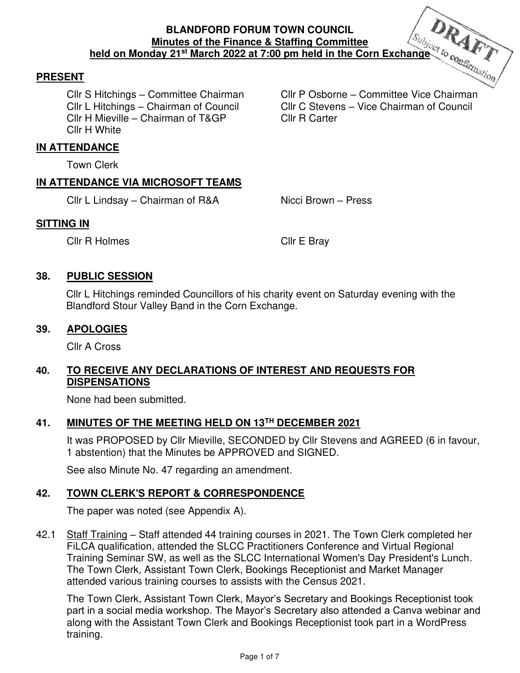## **PRESENT**

Cllr H Mieville – Chairman of T&GP Cllr R Carter Cllr H White

Cllr S Hitchings – Committee Chairman Cllr P Osborne – Committee Vice Chairman Cllr L Hitchings – Chairman of Council Cllr C Stevens – Vice Chairman of Council

### **IN ATTENDANCE**

Town Clerk

## **IN ATTENDANCE VIA MICROSOFT TEAMS**

Cllr L Lindsay – Chairman of R&A Nicci Brown – Press

# **SITTING IN**

Cllr R Holmes Cllr E Bray

# **38. PUBLIC SESSION**

Cllr L Hitchings reminded Councillors of his charity event on Saturday evening with the Blandford Stour Valley Band in the Corn Exchange.

# **39. APOLOGIES**

Cllr A Cross

# **40. TO RECEIVE ANY DECLARATIONS OF INTEREST AND REQUESTS FOR DISPENSATIONS**

None had been submitted.

# **41. MINUTES OF THE MEETING HELD ON 13TH DECEMBER 2021**

It was PROPOSED by Cllr Mieville, SECONDED by Cllr Stevens and AGREED (6 in favour, 1 abstention) that the Minutes be APPROVED and SIGNED.

See also Minute No. 47 regarding an amendment.

# **42. TOWN CLERK'S REPORT & CORRESPONDENCE**

The paper was noted (see Appendix A).

42.1 Staff Training – Staff attended 44 training courses in 2021. The Town Clerk completed her FiLCA qualification, attended the SLCC Practitioners Conference and Virtual Regional Training Seminar SW, as well as the SLCC International Women's Day President's Lunch. The Town Clerk, Assistant Town Clerk, Bookings Receptionist and Market Manager attended various training courses to assists with the Census 2021.

The Town Clerk, Assistant Town Clerk, Mayor's Secretary and Bookings Receptionist took part in a social media workshop. The Mayor's Secretary also attended a Canva webinar and along with the Assistant Town Clerk and Bookings Receptionist took part in a WordPress training.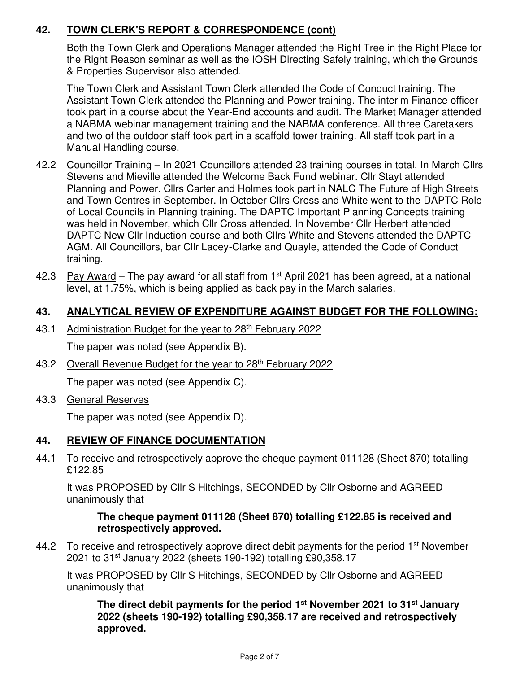# **42. TOWN CLERK'S REPORT & CORRESPONDENCE (cont)**

Both the Town Clerk and Operations Manager attended the Right Tree in the Right Place for the Right Reason seminar as well as the IOSH Directing Safely training, which the Grounds & Properties Supervisor also attended.

The Town Clerk and Assistant Town Clerk attended the Code of Conduct training. The Assistant Town Clerk attended the Planning and Power training. The interim Finance officer took part in a course about the Year-End accounts and audit. The Market Manager attended a NABMA webinar management training and the NABMA conference. All three Caretakers and two of the outdoor staff took part in a scaffold tower training. All staff took part in a Manual Handling course.

- 42.2 Councillor Training In 2021 Councillors attended 23 training courses in total. In March Cllrs Stevens and Mieville attended the Welcome Back Fund webinar. Cllr Stayt attended Planning and Power. Cllrs Carter and Holmes took part in NALC The Future of High Streets and Town Centres in September. In October Cllrs Cross and White went to the DAPTC Role of Local Councils in Planning training. The DAPTC Important Planning Concepts training was held in November, which Cllr Cross attended. In November Cllr Herbert attended DAPTC New Cllr Induction course and both Cllrs White and Stevens attended the DAPTC AGM. All Councillors, bar Cllr Lacey-Clarke and Quayle, attended the Code of Conduct training.
- 42.3 Pay Award The pay award for all staff from  $1<sup>st</sup>$  April 2021 has been agreed, at a national level, at 1.75%, which is being applied as back pay in the March salaries.

# **43. ANALYTICAL REVIEW OF EXPENDITURE AGAINST BUDGET FOR THE FOLLOWING:**

43.1 Administration Budget for the year to 28<sup>th</sup> February 2022

The paper was noted (see Appendix B).

43.2 Overall Revenue Budget for the year to 28<sup>th</sup> February 2022

The paper was noted (see Appendix C).

43.3 General Reserves

The paper was noted (see Appendix D).

# **44. REVIEW OF FINANCE DOCUMENTATION**

44.1 To receive and retrospectively approve the cheque payment 011128 (Sheet 870) totalling £122.85

It was PROPOSED by Cllr S Hitchings, SECONDED by Cllr Osborne and AGREED unanimously that

**The cheque payment 011128 (Sheet 870) totalling £122.85 is received and retrospectively approved.** 

44.2 To receive and retrospectively approve direct debit payments for the period 1<sup>st</sup> November 2021 to 31<sup>st</sup> January 2022 (sheets 190-192) totalling £90,358.17

It was PROPOSED by Cllr S Hitchings, SECONDED by Cllr Osborne and AGREED unanimously that

**The direct debit payments for the period 1st November 2021 to 31st January 2022 (sheets 190-192) totalling £90,358.17 are received and retrospectively approved.**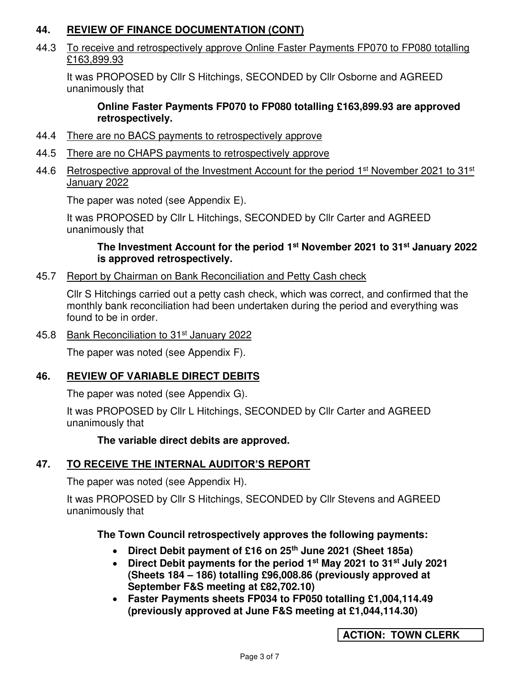# **44. REVIEW OF FINANCE DOCUMENTATION (CONT)**

44.3 To receive and retrospectively approve Online Faster Payments FP070 to FP080 totalling £163,899.93

It was PROPOSED by Cllr S Hitchings, SECONDED by Cllr Osborne and AGREED unanimously that

### **Online Faster Payments FP070 to FP080 totalling £163,899.93 are approved retrospectively.**

- 44.4 There are no BACS payments to retrospectively approve
- 44.5 There are no CHAPS payments to retrospectively approve
- 44.6 Retrospective approval of the Investment Account for the period  $1<sup>st</sup>$  November 2021 to 31 $<sup>st</sup>$ </sup> January 2022

The paper was noted (see Appendix E).

It was PROPOSED by Cllr L Hitchings, SECONDED by Cllr Carter and AGREED unanimously that

## **The Investment Account for the period 1st November 2021 to 31st January 2022 is approved retrospectively.**

45.7 Report by Chairman on Bank Reconciliation and Petty Cash check

Cllr S Hitchings carried out a petty cash check, which was correct, and confirmed that the monthly bank reconciliation had been undertaken during the period and everything was found to be in order.

45.8 Bank Reconciliation to 31<sup>st</sup> January 2022

The paper was noted (see Appendix F).

# **46. REVIEW OF VARIABLE DIRECT DEBITS**

The paper was noted (see Appendix G).

It was PROPOSED by Cllr L Hitchings, SECONDED by Cllr Carter and AGREED unanimously that

 **The variable direct debits are approved.** 

# **47. TO RECEIVE THE INTERNAL AUDITOR'S REPORT**

The paper was noted (see Appendix H).

It was PROPOSED by Cllr S Hitchings, SECONDED by Cllr Stevens and AGREED unanimously that

# **The Town Council retrospectively approves the following payments:**

- **Direct Debit payment of £16 on 25th June 2021 (Sheet 185a)**
- **Direct Debit payments for the period 1st May 2021 to 31st July 2021 (Sheets 184 – 186) totalling £96,008.86 (previously approved at September F&S meeting at £82,702.10)**
- **Faster Payments sheets FP034 to FP050 totalling £1,004,114.49 (previously approved at June F&S meeting at £1,044,114.30)**

**ACTION: TOWN CLERK**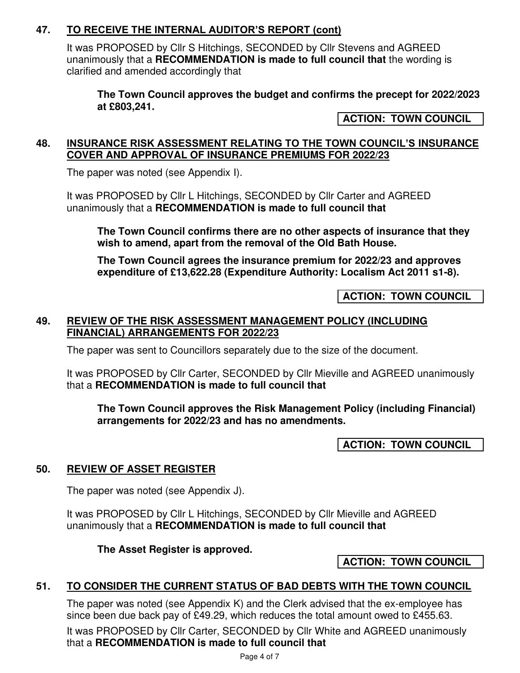# **47. TO RECEIVE THE INTERNAL AUDITOR'S REPORT (cont)**

It was PROPOSED by Cllr S Hitchings, SECONDED by Cllr Stevens and AGREED unanimously that a **RECOMMENDATION is made to full council that** the wording is clarified and amended accordingly that

**The Town Council approves the budget and confirms the precept for 2022/2023 at £803,241.** 

**ACTION: TOWN COUNCIL** 

#### **48. INSURANCE RISK ASSESSMENT RELATING TO THE TOWN COUNCIL'S INSURANCE COVER AND APPROVAL OF INSURANCE PREMIUMS FOR 2022/23**

The paper was noted (see Appendix I).

It was PROPOSED by Cllr L Hitchings, SECONDED by Cllr Carter and AGREED unanimously that a **RECOMMENDATION is made to full council that**

**The Town Council confirms there are no other aspects of insurance that they wish to amend, apart from the removal of the Old Bath House.** 

**The Town Council agrees the insurance premium for 2022/23 and approves expenditure of £13,622.28 (Expenditure Authority: Localism Act 2011 s1-8).** 

**ACTION: TOWN COUNCIL** 

## **49. REVIEW OF THE RISK ASSESSMENT MANAGEMENT POLICY (INCLUDING FINANCIAL) ARRANGEMENTS FOR 2022/23**

The paper was sent to Councillors separately due to the size of the document.

It was PROPOSED by Cllr Carter, SECONDED by Cllr Mieville and AGREED unanimously that a **RECOMMENDATION is made to full council that** 

**The Town Council approves the Risk Management Policy (including Financial) arrangements for 2022/23 and has no amendments.** 

**ACTION: TOWN COUNCIL** 

# **50. REVIEW OF ASSET REGISTER**

The paper was noted (see Appendix J).

It was PROPOSED by Cllr L Hitchings, SECONDED by Cllr Mieville and AGREED unanimously that a **RECOMMENDATION is made to full council that**

**The Asset Register is approved.** 

**ACTION: TOWN COUNCIL** 

# **51. TO CONSIDER THE CURRENT STATUS OF BAD DEBTS WITH THE TOWN COUNCIL**

The paper was noted (see Appendix K) and the Clerk advised that the ex-employee has since been due back pay of £49.29, which reduces the total amount owed to £455.63.

It was PROPOSED by Cllr Carter, SECONDED by Cllr White and AGREED unanimously that a **RECOMMENDATION is made to full council that**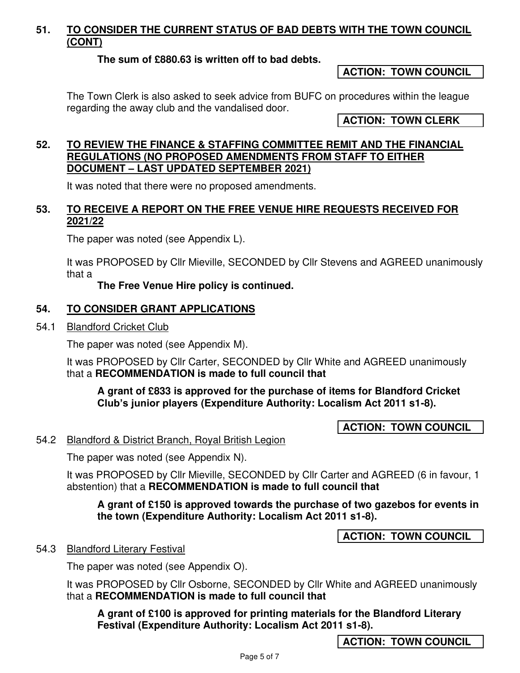# **51. TO CONSIDER THE CURRENT STATUS OF BAD DEBTS WITH THE TOWN COUNCIL (CONT)**

## **The sum of £880.63 is written off to bad debts.**

**ACTION: TOWN COUNCIL** 

The Town Clerk is also asked to seek advice from BUFC on procedures within the league regarding the away club and the vandalised door.

**ACTION: TOWN CLERK** 

#### **52. TO REVIEW THE FINANCE & STAFFING COMMITTEE REMIT AND THE FINANCIAL REGULATIONS (NO PROPOSED AMENDMENTS FROM STAFF TO EITHER DOCUMENT – LAST UPDATED SEPTEMBER 2021)**

It was noted that there were no proposed amendments.

# **53. TO RECEIVE A REPORT ON THE FREE VENUE HIRE REQUESTS RECEIVED FOR 2021/22**

The paper was noted (see Appendix L).

It was PROPOSED by Cllr Mieville, SECONDED by Cllr Stevens and AGREED unanimously that a

#### **The Free Venue Hire policy is continued.**

#### **54. TO CONSIDER GRANT APPLICATIONS**

54.1 Blandford Cricket Club

The paper was noted (see Appendix M).

It was PROPOSED by Cllr Carter, SECONDED by Cllr White and AGREED unanimously that a **RECOMMENDATION is made to full council that** 

**A grant of £833 is approved for the purchase of items for Blandford Cricket Club's junior players (Expenditure Authority: Localism Act 2011 s1-8).** 

**ACTION: TOWN COUNCIL** 

#### 54.2 Blandford & District Branch, Royal British Legion

The paper was noted (see Appendix N).

It was PROPOSED by Cllr Mieville, SECONDED by Cllr Carter and AGREED (6 in favour, 1 abstention) that a **RECOMMENDATION is made to full council that** 

**A grant of £150 is approved towards the purchase of two gazebos for events in the town (Expenditure Authority: Localism Act 2011 s1-8).** 

**ACTION: TOWN COUNCIL** 

#### 54.3 Blandford Literary Festival

The paper was noted (see Appendix O).

It was PROPOSED by Cllr Osborne, SECONDED by Cllr White and AGREED unanimously that a **RECOMMENDATION is made to full council that** 

**A grant of £100 is approved for printing materials for the Blandford Literary Festival (Expenditure Authority: Localism Act 2011 s1-8).** 

**ACTION: TOWN COUNCIL**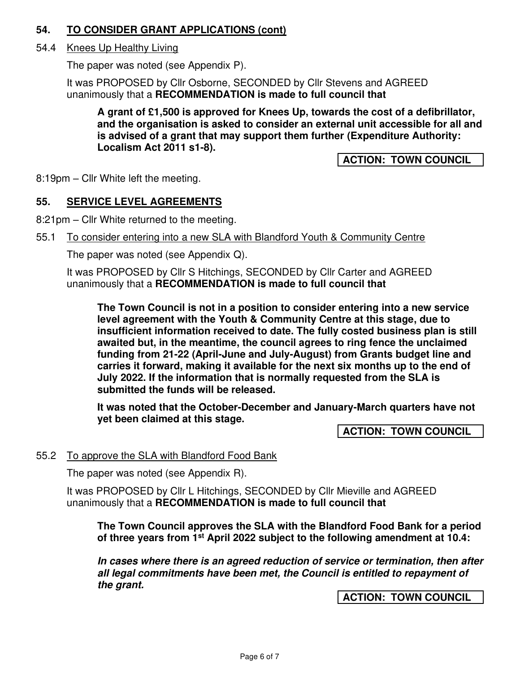# **54. TO CONSIDER GRANT APPLICATIONS (cont)**

## 54.4 Knees Up Healthy Living

The paper was noted (see Appendix P).

It was PROPOSED by Cllr Osborne, SECONDED by Cllr Stevens and AGREED unanimously that a **RECOMMENDATION is made to full council that** 

**A grant of £1,500 is approved for Knees Up, towards the cost of a defibrillator, and the organisation is asked to consider an external unit accessible for all and is advised of a grant that may support them further (Expenditure Authority: Localism Act 2011 s1-8).** 

**ACTION: TOWN COUNCIL** 

8:19pm – Cllr White left the meeting.

## **55. SERVICE LEVEL AGREEMENTS**

8:21pm – Cllr White returned to the meeting.

55.1 To consider entering into a new SLA with Blandford Youth & Community Centre

The paper was noted (see Appendix Q).

It was PROPOSED by Cllr S Hitchings, SECONDED by Cllr Carter and AGREED unanimously that a **RECOMMENDATION is made to full council that**

**The Town Council is not in a position to consider entering into a new service level agreement with the Youth & Community Centre at this stage, due to insufficient information received to date. The fully costed business plan is still awaited but, in the meantime, the council agrees to ring fence the unclaimed funding from 21-22 (April-June and July-August) from Grants budget line and carries it forward, making it available for the next six months up to the end of July 2022. If the information that is normally requested from the SLA is submitted the funds will be released.** 

**It was noted that the October-December and January-March quarters have not yet been claimed at this stage.** 

**ACTION: TOWN COUNCIL** 

#### 55.2 To approve the SLA with Blandford Food Bank

The paper was noted (see Appendix R).

It was PROPOSED by Cllr L Hitchings, SECONDED by Cllr Mieville and AGREED unanimously that a **RECOMMENDATION is made to full council that** 

**The Town Council approves the SLA with the Blandford Food Bank for a period of three years from 1st April 2022 subject to the following amendment at 10.4:** 

**In cases where there is an agreed reduction of service or termination, then after all legal commitments have been met, the Council is entitled to repayment of the grant.** 

**ACTION: TOWN COUNCIL**